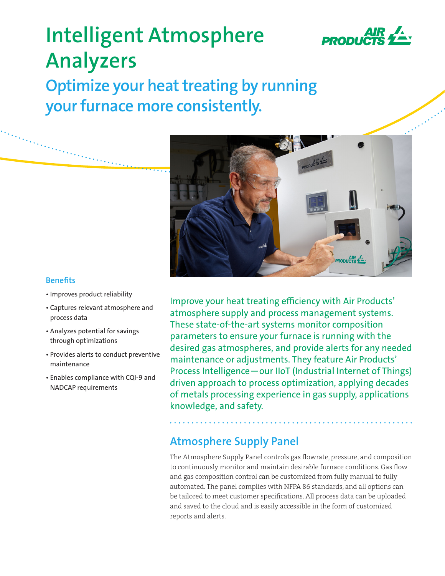

# **Intelligent Atmosphere Analyzers**

**Optimize your heat treating by running your furnace more consistently.**



## **Benefits**

- Improves product reliability
- Captures relevant atmosphere and process data
- Analyzes potential for savings through optimizations
- Provides alerts to conduct preventive maintenance
- Enables compliance with CQI-9 and NADCAP requirements

Improve your heat treating efficiency with Air Products' atmosphere supply and process management systems. These state-of-the-art systems monitor composition parameters to ensure your furnace is running with the desired gas atmospheres, and provide alerts for any needed maintenance or adjustments. They feature Air Products' Process Intelligence—our IIoT (Industrial Internet of Things) driven approach to process optimization, applying decades of metals processing experience in gas supply, applications knowledge, and safety.

# **Atmosphere Supply Panel**

The Atmosphere Supply Panel controls gas flowrate, pressure, and composition to continuously monitor and maintain desirable furnace conditions. Gas flow and gas composition control can be customized from fully manual to fully automated. The panel complies with NFPA 86 standards, and all options can be tailored to meet customer specifications. All process data can be uploaded and saved to the cloud and is easily accessible in the form of customized reports and alerts.